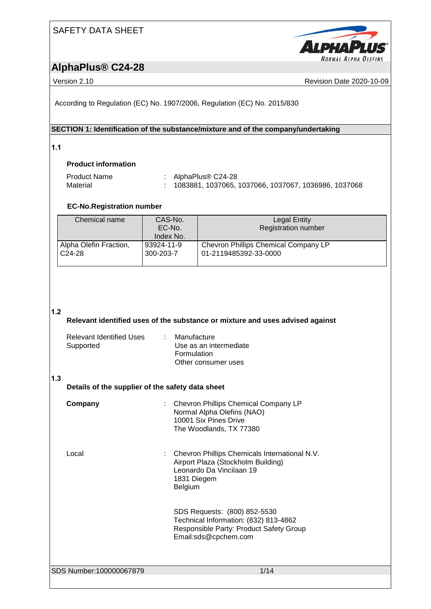# SAFETY DATA SHEET



# **AlphaPlus® C24-28**

Version 2.10 **Revision Date 2020-10-09** Revision Date 2020-10-09

According to Regulation (EC) No. 1907/2006, Regulation (EC) No. 2015/830

### **SECTION 1: Identification of the substance/mixture and of the company/undertaking**

**1.1** 

### **Product information**

| Product Name | : AlphaPlus <sup>®</sup> C24-28                            |
|--------------|------------------------------------------------------------|
| Material     | $\pm$ 1083881, 1037065, 1037066, 1037067, 1036986, 1037068 |

### **EC-No.Registration number**

| Chemical name          | CAS-No.<br>EC-No.<br>Index No. | Legal Entity<br><b>Registration number</b> |
|------------------------|--------------------------------|--------------------------------------------|
| Alpha Olefin Fraction, | 93924-11-9                     | Chevron Phillips Chemical Company LP       |
| $C24-28$               | 300-203-7                      | 01-2119485392-33-0000                      |

### **1.2**

### **Relevant identified uses of the substance or mixture and uses advised against**

| <b>Relevant Identified Uses</b><br>Supported | : Manufacture<br>Use as an intermediate<br>Formulation |
|----------------------------------------------|--------------------------------------------------------|
|                                              | Other consumer uses                                    |

### **1.3**

| Details of the supplier of the safety data sheet |                                                                                                    |  |  |
|--------------------------------------------------|----------------------------------------------------------------------------------------------------|--|--|
| Company                                          | <b>Chevron Phillips Chemical Company LP</b><br>Normal Alpha Olefins (NAO)<br>10001 Six Pines Drive |  |  |

| Local | : Chevron Phillips Chemicals International N.V. |
|-------|-------------------------------------------------|
|       | Airport Plaza (Stockholm Building)              |
|       | Leonardo Da Vincilaan 19                        |
|       | 1831 Diegem                                     |
|       | <b>Belgium</b>                                  |

The Woodlands, TX 77380

| SDS Requests: (800) 852-5530            |  |  |  |
|-----------------------------------------|--|--|--|
| Technical Information: (832) 813-4862   |  |  |  |
| Responsible Party: Product Safety Group |  |  |  |
| Email:sds@cpchem.com                    |  |  |  |

SDS Number:100000067879 1/14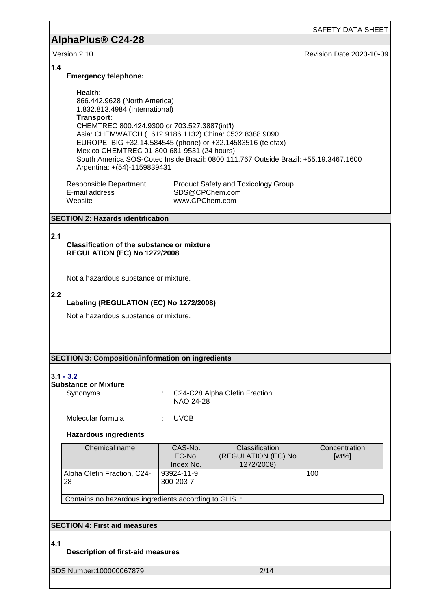SAFETY DATA SHEET

Version 2.10 **Version 2.10** Revision Date 2020-10-09

### **1.4**

### **Emergency telephone:**

### **Health**:

866.442.9628 (North America) 1.832.813.4984 (International) **Transport**: CHEMTREC 800.424.9300 or 703.527.3887(int'l) Asia: CHEMWATCH (+612 9186 1132) China: 0532 8388 9090 EUROPE: BIG +32.14.584545 (phone) or +32.14583516 (telefax) Mexico CHEMTREC 01-800-681-9531 (24 hours) South America SOS-Cotec Inside Brazil: 0800.111.767 Outside Brazil: +55.19.3467.1600 Argentina: +(54)-1159839431 Responsible Department : Product Safety and Toxicology Group

E-mail address : SDS@CPChem.com Website : www.CPChem.com

### **SECTION 2: Hazards identification**

#### **2.1**

### **Classification of the substance or mixture REGULATION (EC) No 1272/2008**

Not a hazardous substance or mixture.

### **2.2**

### **Labeling (REGULATION (EC) No 1272/2008)**

Not a hazardous substance or mixture.

**SECTION 3: Composition/information on ingredients**

### **3.1 - 3.2**

### **Substance or Mixture**

| Synonyms | C24-C28 Alpha Olefin Fraction<br>NAO 24-28 |
|----------|--------------------------------------------|
|          |                                            |

Molecular formula : UVCB

### **Hazardous ingredients**

| Chemical name                                      | CAS-No.<br>EC-No.<br>Index No. | Classification<br>(REGULATION (EC) No<br>1272/2008) | Concentration<br>$[wt\%]$ |  |  |
|----------------------------------------------------|--------------------------------|-----------------------------------------------------|---------------------------|--|--|
| Alpha Olefin Fraction, C24-<br>28                  | 93924-11-9<br>300-203-7        |                                                     | 100                       |  |  |
| Contains no bazardous ingredients according to CHS |                                |                                                     |                           |  |  |

Contains no hazardous ingredients according to GHS. :

### **SECTION 4: First aid measures**

### **4.1**

### **Description of first-aid measures**

SDS Number:100000067879 2/14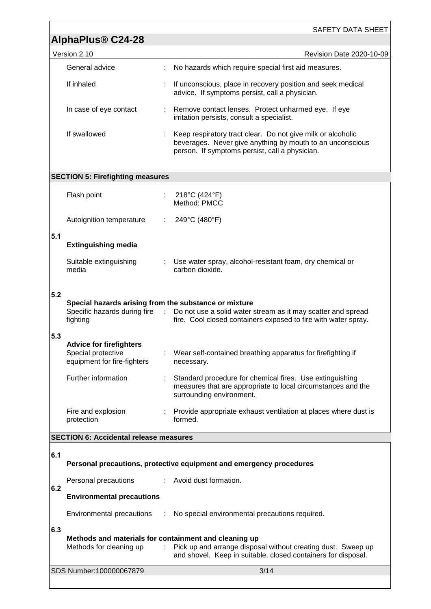|     | AlphaPlus <sup>®</sup> C24-28                                                       |    | <b>SAFETY DATA SHEET</b>                                                                                                                                                   |
|-----|-------------------------------------------------------------------------------------|----|----------------------------------------------------------------------------------------------------------------------------------------------------------------------------|
|     | Version 2.10                                                                        |    | Revision Date 2020-10-09                                                                                                                                                   |
|     | General advice                                                                      |    | No hazards which require special first aid measures.                                                                                                                       |
|     | If inhaled                                                                          |    | If unconscious, place in recovery position and seek medical<br>advice. If symptoms persist, call a physician.                                                              |
|     | In case of eye contact                                                              | ÷  | Remove contact lenses. Protect unharmed eye. If eye<br>irritation persists, consult a specialist.                                                                          |
|     | If swallowed                                                                        |    | Keep respiratory tract clear. Do not give milk or alcoholic<br>beverages. Never give anything by mouth to an unconscious<br>person. If symptoms persist, call a physician. |
|     | <b>SECTION 5: Firefighting measures</b>                                             |    |                                                                                                                                                                            |
|     | Flash point                                                                         |    | 218°C (424°F)<br>Method: PMCC                                                                                                                                              |
|     | Autoignition temperature                                                            |    | 249°C (480°F)                                                                                                                                                              |
| 5.1 | <b>Extinguishing media</b>                                                          |    |                                                                                                                                                                            |
|     | Suitable extinguishing<br>media                                                     |    | Use water spray, alcohol-resistant foam, dry chemical or<br>carbon dioxide.                                                                                                |
| 5.2 | Special hazards arising from the substance or mixture<br>fighting                   |    | Specific hazards during fire : Do not use a solid water stream as it may scatter and spread<br>fire. Cool closed containers exposed to fire with water spray.              |
| 5.3 | <b>Advice for firefighters</b><br>Special protective<br>equipment for fire-fighters |    | Wear self-contained breathing apparatus for firefighting if<br>necessary.                                                                                                  |
|     | Further information                                                                 |    | Standard procedure for chemical fires. Use extinguishing<br>measures that are appropriate to local circumstances and the<br>surrounding environment.                       |
|     | Fire and explosion<br>protection                                                    |    | Provide appropriate exhaust ventilation at places where dust is<br>formed.                                                                                                 |
|     | <b>SECTION 6: Accidental release measures</b>                                       |    |                                                                                                                                                                            |
| 6.1 |                                                                                     |    | Personal precautions, protective equipment and emergency procedures                                                                                                        |
|     | Personal precautions                                                                | ÷. | Avoid dust formation.                                                                                                                                                      |
| 6.2 | <b>Environmental precautions</b>                                                    |    |                                                                                                                                                                            |
|     | Environmental precautions                                                           |    | No special environmental precautions required.                                                                                                                             |
| 6.3 | Methods and materials for containment and cleaning up<br>Methods for cleaning up    |    | Pick up and arrange disposal without creating dust. Sweep up<br>and shovel. Keep in suitable, closed containers for disposal.                                              |

SDS Number:100000067879 3/14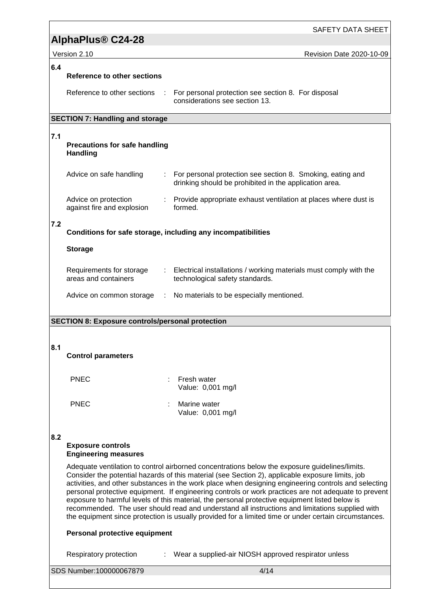SAFETY DATA SHEET

Version 2.10 **Version 2.10** Revision Date 2020-10-09

## **6.4**

|     | Reference to other sections                                  |                                                                                                                                                                                                                                                                                                                                                                                                                                                                                                                                                                                                                                                                                                                                  |
|-----|--------------------------------------------------------------|----------------------------------------------------------------------------------------------------------------------------------------------------------------------------------------------------------------------------------------------------------------------------------------------------------------------------------------------------------------------------------------------------------------------------------------------------------------------------------------------------------------------------------------------------------------------------------------------------------------------------------------------------------------------------------------------------------------------------------|
|     | Reference to other sections<br>$\sim 100$                    | For personal protection see section 8. For disposal<br>considerations see section 13.                                                                                                                                                                                                                                                                                                                                                                                                                                                                                                                                                                                                                                            |
|     | <b>SECTION 7: Handling and storage</b>                       |                                                                                                                                                                                                                                                                                                                                                                                                                                                                                                                                                                                                                                                                                                                                  |
| 7.1 | <b>Precautions for safe handling</b><br><b>Handling</b>      |                                                                                                                                                                                                                                                                                                                                                                                                                                                                                                                                                                                                                                                                                                                                  |
|     | Advice on safe handling<br>÷                                 | For personal protection see section 8. Smoking, eating and<br>drinking should be prohibited in the application area.                                                                                                                                                                                                                                                                                                                                                                                                                                                                                                                                                                                                             |
|     | Advice on protection<br>against fire and explosion           | Provide appropriate exhaust ventilation at places where dust is<br>formed.                                                                                                                                                                                                                                                                                                                                                                                                                                                                                                                                                                                                                                                       |
| 7.2 | Conditions for safe storage, including any incompatibilities |                                                                                                                                                                                                                                                                                                                                                                                                                                                                                                                                                                                                                                                                                                                                  |
|     | <b>Storage</b>                                               |                                                                                                                                                                                                                                                                                                                                                                                                                                                                                                                                                                                                                                                                                                                                  |
|     | Requirements for storage<br>areas and containers             | : Electrical installations / working materials must comply with the<br>technological safety standards.                                                                                                                                                                                                                                                                                                                                                                                                                                                                                                                                                                                                                           |
|     | Advice on common storage :                                   | No materials to be especially mentioned.                                                                                                                                                                                                                                                                                                                                                                                                                                                                                                                                                                                                                                                                                         |
|     | <b>SECTION 8: Exposure controls/personal protection</b>      |                                                                                                                                                                                                                                                                                                                                                                                                                                                                                                                                                                                                                                                                                                                                  |
|     |                                                              |                                                                                                                                                                                                                                                                                                                                                                                                                                                                                                                                                                                                                                                                                                                                  |
| 8.1 | <b>Control parameters</b>                                    |                                                                                                                                                                                                                                                                                                                                                                                                                                                                                                                                                                                                                                                                                                                                  |
|     | PNEC                                                         | Fresh water<br>Value: 0,001 mg/l                                                                                                                                                                                                                                                                                                                                                                                                                                                                                                                                                                                                                                                                                                 |
|     | <b>PNEC</b>                                                  | Marine water<br>Value: 0,001 mg/l                                                                                                                                                                                                                                                                                                                                                                                                                                                                                                                                                                                                                                                                                                |
| 8.2 |                                                              |                                                                                                                                                                                                                                                                                                                                                                                                                                                                                                                                                                                                                                                                                                                                  |
|     | <b>Exposure controls</b><br><b>Engineering measures</b>      |                                                                                                                                                                                                                                                                                                                                                                                                                                                                                                                                                                                                                                                                                                                                  |
|     |                                                              | Adequate ventilation to control airborned concentrations below the exposure guidelines/limits.<br>Consider the potential hazards of this material (see Section 2), applicable exposure limits, job<br>activities, and other substances in the work place when designing engineering controls and selecting<br>personal protective equipment. If engineering controls or work practices are not adequate to prevent<br>exposure to harmful levels of this material, the personal protective equipment listed below is<br>recommended. The user should read and understand all instructions and limitations supplied with<br>the equipment since protection is usually provided for a limited time or under certain circumstances. |
|     | Personal protective equipment                                |                                                                                                                                                                                                                                                                                                                                                                                                                                                                                                                                                                                                                                                                                                                                  |
|     | Respiratory protection                                       | Wear a supplied-air NIOSH approved respirator unless                                                                                                                                                                                                                                                                                                                                                                                                                                                                                                                                                                                                                                                                             |
|     | SDS Number:100000067879                                      | 4/14                                                                                                                                                                                                                                                                                                                                                                                                                                                                                                                                                                                                                                                                                                                             |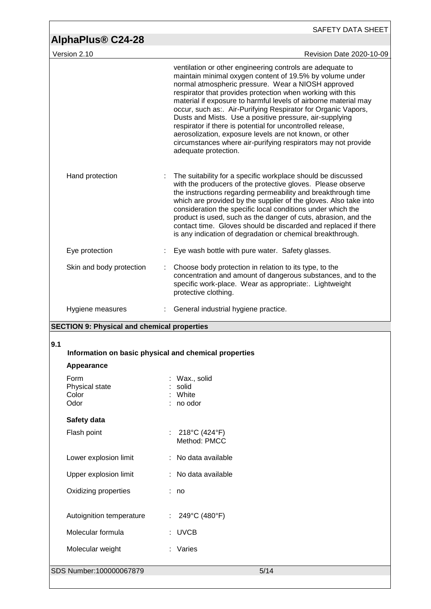|     | AlphaPlus <sup>®</sup> C24-28                         | <b>SAFETY DATA SHEET</b>                                                                                                                                                                                                                                                                                                                                                                                                                                                                                                                                                                                                                                  |
|-----|-------------------------------------------------------|-----------------------------------------------------------------------------------------------------------------------------------------------------------------------------------------------------------------------------------------------------------------------------------------------------------------------------------------------------------------------------------------------------------------------------------------------------------------------------------------------------------------------------------------------------------------------------------------------------------------------------------------------------------|
|     | Version 2.10                                          | Revision Date 2020-10-09                                                                                                                                                                                                                                                                                                                                                                                                                                                                                                                                                                                                                                  |
|     |                                                       | ventilation or other engineering controls are adequate to<br>maintain minimal oxygen content of 19.5% by volume under<br>normal atmospheric pressure. Wear a NIOSH approved<br>respirator that provides protection when working with this<br>material if exposure to harmful levels of airborne material may<br>occur, such as: Air-Purifying Respirator for Organic Vapors,<br>Dusts and Mists. Use a positive pressure, air-supplying<br>respirator if there is potential for uncontrolled release,<br>aerosolization, exposure levels are not known, or other<br>circumstances where air-purifying respirators may not provide<br>adequate protection. |
|     | Hand protection                                       | The suitability for a specific workplace should be discussed<br>with the producers of the protective gloves. Please observe<br>the instructions regarding permeability and breakthrough time<br>which are provided by the supplier of the gloves. Also take into<br>consideration the specific local conditions under which the<br>product is used, such as the danger of cuts, abrasion, and the<br>contact time. Gloves should be discarded and replaced if there<br>is any indication of degradation or chemical breakthrough.                                                                                                                         |
|     | Eye protection                                        | Eye wash bottle with pure water. Safety glasses.                                                                                                                                                                                                                                                                                                                                                                                                                                                                                                                                                                                                          |
|     | Skin and body protection                              | Choose body protection in relation to its type, to the<br>concentration and amount of dangerous substances, and to the<br>specific work-place. Wear as appropriate:. Lightweight<br>protective clothing.                                                                                                                                                                                                                                                                                                                                                                                                                                                  |
|     | Hygiene measures                                      | : General industrial hygiene practice.                                                                                                                                                                                                                                                                                                                                                                                                                                                                                                                                                                                                                    |
|     | <b>SECTION 9: Physical and chemical properties</b>    |                                                                                                                                                                                                                                                                                                                                                                                                                                                                                                                                                                                                                                                           |
| 9.1 | Information on basic physical and chemical properties |                                                                                                                                                                                                                                                                                                                                                                                                                                                                                                                                                                                                                                                           |
|     | Appearance                                            |                                                                                                                                                                                                                                                                                                                                                                                                                                                                                                                                                                                                                                                           |
|     | Form<br>Physical state<br>Color<br>Odor               | Wax., solid<br>solid<br>White<br>no odor                                                                                                                                                                                                                                                                                                                                                                                                                                                                                                                                                                                                                  |
|     | Safety data                                           |                                                                                                                                                                                                                                                                                                                                                                                                                                                                                                                                                                                                                                                           |
|     | Flash point                                           | : $218^{\circ}C(424^{\circ}F)$<br>Method: PMCC                                                                                                                                                                                                                                                                                                                                                                                                                                                                                                                                                                                                            |
|     | Lower explosion limit                                 | : No data available                                                                                                                                                                                                                                                                                                                                                                                                                                                                                                                                                                                                                                       |
|     | Upper explosion limit                                 | No data available                                                                                                                                                                                                                                                                                                                                                                                                                                                                                                                                                                                                                                         |
|     | Oxidizing properties                                  | : no                                                                                                                                                                                                                                                                                                                                                                                                                                                                                                                                                                                                                                                      |
|     | Autoignition temperature                              | 249°C (480°F)                                                                                                                                                                                                                                                                                                                                                                                                                                                                                                                                                                                                                                             |
|     | Molecular formula                                     | : UVCB                                                                                                                                                                                                                                                                                                                                                                                                                                                                                                                                                                                                                                                    |
|     | Molecular weight                                      | : Varies                                                                                                                                                                                                                                                                                                                                                                                                                                                                                                                                                                                                                                                  |
|     | SDS Number:100000067879                               | 5/14                                                                                                                                                                                                                                                                                                                                                                                                                                                                                                                                                                                                                                                      |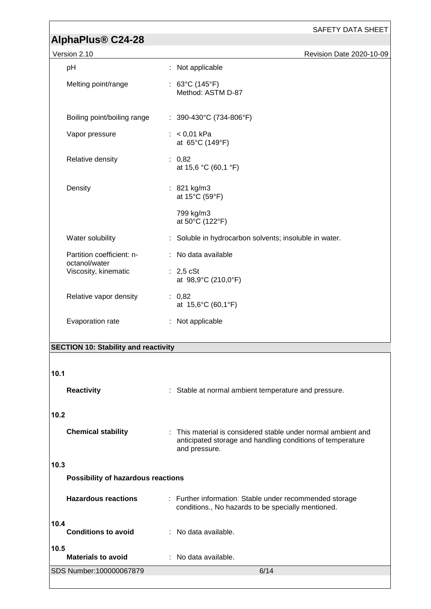# **AlphaF**

| AlphaPlus® C24-28                          |                                                        |                          |
|--------------------------------------------|--------------------------------------------------------|--------------------------|
| Version 2.10                               |                                                        | Revision Date 2020-10-09 |
| pH                                         | : Not applicable                                       |                          |
| Melting point/range                        | : 63°C (145°F)<br>Method: ASTM D-87                    |                          |
| Boiling point/boiling range                | : $390-430^{\circ}$ C (734-806°F)                      |                          |
| Vapor pressure                             | : $< 0.01$ kPa<br>at 65°C (149°F)                      |                          |
| Relative density                           | : 0,82<br>at 15,6 °C (60,1 °F)                         |                          |
| Density                                    | : $821 \text{ kg/m}3$<br>at 15°C (59°F)                |                          |
|                                            | 799 kg/m3<br>at 50°C (122°F)                           |                          |
| Water solubility                           | : Soluble in hydrocarbon solvents; insoluble in water. |                          |
| Partition coefficient: n-<br>octanol/water | : No data available                                    |                          |
| Viscosity, kinematic                       | $\therefore$ 2,5 cSt<br>at 98,9°C (210,0°F)            |                          |
| Relative vapor density                     | : 0,82<br>at 15,6°C (60,1°F)                           |                          |
|                                            |                                                        |                          |

## **SECTION 10: Stability and reactivity**

Evaporation rate : Not applicable

| 10.1                               |                                                                                                                                              |
|------------------------------------|----------------------------------------------------------------------------------------------------------------------------------------------|
| <b>Reactivity</b>                  | : Stable at normal ambient temperature and pressure.                                                                                         |
| 10.2                               |                                                                                                                                              |
| <b>Chemical stability</b>          | : This material is considered stable under normal ambient and<br>anticipated storage and handling conditions of temperature<br>and pressure. |
| 10.3                               |                                                                                                                                              |
| Possibility of hazardous reactions |                                                                                                                                              |
| <b>Hazardous reactions</b>         | : Further information: Stable under recommended storage<br>conditions., No hazards to be specially mentioned.                                |
| 10.4<br><b>Conditions to avoid</b> | : No data available.                                                                                                                         |
| 10.5<br><b>Materials to avoid</b>  | : No data available.                                                                                                                         |
| SDS Number:100000067879            | 6/14                                                                                                                                         |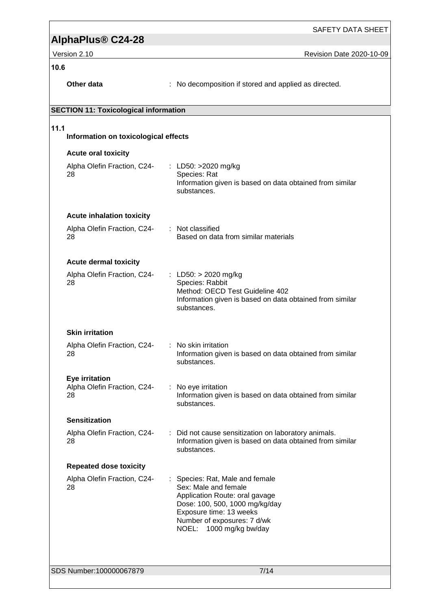Version 2.10 **Version 2.10** Revision Date 2020-10-09

SAFETY DATA SHEET

**10.6** 

Other data **Outlet Constant Constant Constant Constant Constant Constant Constant Constant Constant Constant Constant Constant Constant Constant Constant Constant Constant Constant Constant Constant Constant Constant Const** 

### **SECTION 11: Toxicological information**

### **11.1**

| 11.1                                                       | Information on toxicological effects                                                                                                                                                                                   |  |  |
|------------------------------------------------------------|------------------------------------------------------------------------------------------------------------------------------------------------------------------------------------------------------------------------|--|--|
| <b>Acute oral toxicity</b>                                 |                                                                                                                                                                                                                        |  |  |
| Alpha Olefin Fraction, C24-<br>28                          | : LD50: $>2020$ mg/kg<br>Species: Rat<br>Information given is based on data obtained from similar<br>substances.                                                                                                       |  |  |
| <b>Acute inhalation toxicity</b>                           |                                                                                                                                                                                                                        |  |  |
| Alpha Olefin Fraction, C24-<br>28                          | : Not classified<br>Based on data from similar materials                                                                                                                                                               |  |  |
| <b>Acute dermal toxicity</b>                               |                                                                                                                                                                                                                        |  |  |
| Alpha Olefin Fraction, C24-<br>28                          | : LD50: $> 2020$ mg/kg<br>Species: Rabbit<br>Method: OECD Test Guideline 402<br>Information given is based on data obtained from similar<br>substances.                                                                |  |  |
| <b>Skin irritation</b>                                     |                                                                                                                                                                                                                        |  |  |
| Alpha Olefin Fraction, C24-<br>28                          | No skin irritation<br>÷.<br>Information given is based on data obtained from similar<br>substances.                                                                                                                    |  |  |
| <b>Eye irritation</b><br>Alpha Olefin Fraction, C24-<br>28 | : No eye irritation<br>Information given is based on data obtained from similar<br>substances.                                                                                                                         |  |  |
| <b>Sensitization</b>                                       |                                                                                                                                                                                                                        |  |  |
| Alpha Olefin Fraction, C24-<br>28                          | : Did not cause sensitization on laboratory animals.<br>Information given is based on data obtained from similar<br>substances.                                                                                        |  |  |
| <b>Repeated dose toxicity</b>                              |                                                                                                                                                                                                                        |  |  |
| Alpha Olefin Fraction, C24-<br>28                          | Species: Rat, Male and female<br>÷<br>Sex: Male and female<br>Application Route: oral gavage<br>Dose: 100, 500, 1000 mg/kg/day<br>Exposure time: 13 weeks<br>Number of exposures: 7 d/wk<br>1000 mg/kg bw/day<br>NOEL: |  |  |
| SDS Number:100000067879                                    | 7/14                                                                                                                                                                                                                   |  |  |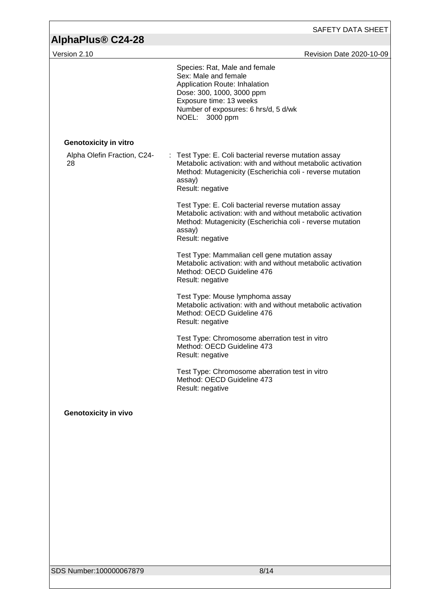| AlphaPlus <sup>®</sup> C24-28     | SAFETY DATA SHEET                                                                                                                                                                                               |
|-----------------------------------|-----------------------------------------------------------------------------------------------------------------------------------------------------------------------------------------------------------------|
| Version 2.10                      | Revision Date 2020-10-09                                                                                                                                                                                        |
|                                   | Species: Rat, Male and female<br>Sex: Male and female<br>Application Route: Inhalation<br>Dose: 300, 1000, 3000 ppm<br>Exposure time: 13 weeks<br>Number of exposures: 6 hrs/d, 5 d/wk<br>NOEL: 3000 ppm        |
| <b>Genotoxicity in vitro</b>      |                                                                                                                                                                                                                 |
| Alpha Olefin Fraction, C24-<br>28 | : Test Type: E. Coli bacterial reverse mutation assay<br>Metabolic activation: with and without metabolic activation<br>Method: Mutagenicity (Escherichia coli - reverse mutation<br>assay)<br>Result: negative |
|                                   | Test Type: E. Coli bacterial reverse mutation assay<br>Metabolic activation: with and without metabolic activation<br>Method: Mutagenicity (Escherichia coli - reverse mutation<br>assay)<br>Result: negative   |
|                                   | Test Type: Mammalian cell gene mutation assay<br>Metabolic activation: with and without metabolic activation<br>Method: OECD Guideline 476<br>Result: negative                                                  |
|                                   | Test Type: Mouse lymphoma assay<br>Metabolic activation: with and without metabolic activation<br>Method: OECD Guideline 476<br>Result: negative                                                                |
|                                   | Test Type: Chromosome aberration test in vitro<br>Method: OECD Guideline 473<br>Result: negative                                                                                                                |
|                                   | Test Type: Chromosome aberration test in vitro<br>Method: OECD Guideline 473<br>Result: negative                                                                                                                |
| <b>Genotoxicity in vivo</b>       |                                                                                                                                                                                                                 |
|                                   |                                                                                                                                                                                                                 |
|                                   |                                                                                                                                                                                                                 |
|                                   |                                                                                                                                                                                                                 |
|                                   |                                                                                                                                                                                                                 |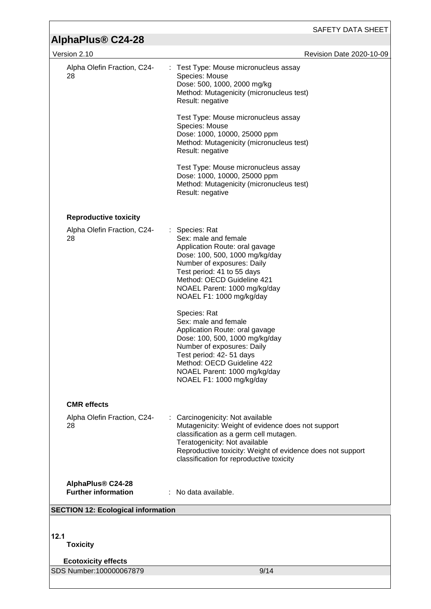|                                                 | SAFETY DATA SHEET                                                                                                                                                                                                                                                          |
|-------------------------------------------------|----------------------------------------------------------------------------------------------------------------------------------------------------------------------------------------------------------------------------------------------------------------------------|
| AlphaPlus <sup>®</sup> C24-28                   |                                                                                                                                                                                                                                                                            |
| Version 2.10                                    | Revision Date 2020-10-09                                                                                                                                                                                                                                                   |
| Alpha Olefin Fraction, C24-<br>28               | : Test Type: Mouse micronucleus assay<br>Species: Mouse<br>Dose: 500, 1000, 2000 mg/kg<br>Method: Mutagenicity (micronucleus test)<br>Result: negative                                                                                                                     |
|                                                 | Test Type: Mouse micronucleus assay<br>Species: Mouse<br>Dose: 1000, 10000, 25000 ppm<br>Method: Mutagenicity (micronucleus test)<br>Result: negative                                                                                                                      |
|                                                 | Test Type: Mouse micronucleus assay<br>Dose: 1000, 10000, 25000 ppm<br>Method: Mutagenicity (micronucleus test)<br>Result: negative                                                                                                                                        |
| <b>Reproductive toxicity</b>                    |                                                                                                                                                                                                                                                                            |
| Alpha Olefin Fraction, C24-<br>28               | : Species: Rat<br>Sex: male and female<br>Application Route: oral gavage<br>Dose: 100, 500, 1000 mg/kg/day<br>Number of exposures: Daily<br>Test period: 41 to 55 days<br>Method: OECD Guideline 421<br>NOAEL Parent: 1000 mg/kg/day<br>NOAEL F1: 1000 mg/kg/day           |
|                                                 | Species: Rat<br>Sex: male and female<br>Application Route: oral gavage<br>Dose: 100, 500, 1000 mg/kg/day<br>Number of exposures: Daily<br>Test period: 42-51 days<br>Method: OECD Guideline 422<br>NOAEL Parent: 1000 mg/kg/day<br>NOAEL F1: 1000 mg/kg/day                |
| <b>CMR</b> effects                              |                                                                                                                                                                                                                                                                            |
| Alpha Olefin Fraction, C24-<br>28               | : Carcinogenicity: Not available<br>Mutagenicity: Weight of evidence does not support<br>classification as a germ cell mutagen.<br>Teratogenicity: Not available<br>Reproductive toxicity: Weight of evidence does not support<br>classification for reproductive toxicity |
| AlphaPlus® C24-28<br><b>Further information</b> | : No data available.                                                                                                                                                                                                                                                       |
| <b>SECTION 12: Ecological information</b>       |                                                                                                                                                                                                                                                                            |
| 12.1<br><b>Toxicity</b>                         |                                                                                                                                                                                                                                                                            |
| <b>Ecotoxicity effects</b>                      |                                                                                                                                                                                                                                                                            |
| SDS Number:100000067879                         | 9/14                                                                                                                                                                                                                                                                       |

<u> 1980 - Andrea Station Barbara, actor a contrador de la contrador de la contrador de la contrador de la contra</u>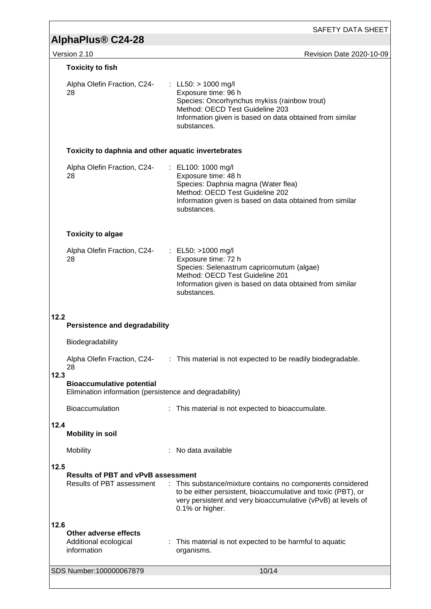|      | <b>Toxicity to fish</b>                                                                     |                                                                                                                                                                                                               |
|------|---------------------------------------------------------------------------------------------|---------------------------------------------------------------------------------------------------------------------------------------------------------------------------------------------------------------|
|      | Alpha Olefin Fraction, C24-<br>28                                                           | : LL50: > 1000 mg/l<br>Exposure time: 96 h<br>Species: Oncorhynchus mykiss (rainbow trout)<br>Method: OECD Test Guideline 203<br>Information given is based on data obtained from similar<br>substances.      |
|      | Toxicity to daphnia and other aquatic invertebrates                                         |                                                                                                                                                                                                               |
|      | Alpha Olefin Fraction, C24-<br>28                                                           | : EL100: 1000 mg/l<br>Exposure time: 48 h<br>Species: Daphnia magna (Water flea)<br>Method: OECD Test Guideline 202<br>Information given is based on data obtained from similar<br>substances.                |
|      | <b>Toxicity to algae</b>                                                                    |                                                                                                                                                                                                               |
|      | Alpha Olefin Fraction, C24-<br>28                                                           | : EL50: $>1000$ mg/l<br>Exposure time: 72 h<br>Species: Selenastrum capricornutum (algae)<br>Method: OECD Test Guideline 201<br>Information given is based on data obtained from similar<br>substances.       |
| 12.2 | <b>Persistence and degradability</b>                                                        |                                                                                                                                                                                                               |
|      | Biodegradability                                                                            |                                                                                                                                                                                                               |
|      | Alpha Olefin Fraction, C24-<br>28                                                           | : This material is not expected to be readily biodegradable.                                                                                                                                                  |
| 12.3 | <b>Bioaccumulative potential</b><br>Elimination information (persistence and degradability) |                                                                                                                                                                                                               |
|      | Bioaccumulation                                                                             | : This material is not expected to bioaccumulate.                                                                                                                                                             |
| 12.4 | <b>Mobility in soil</b>                                                                     |                                                                                                                                                                                                               |
|      | Mobility                                                                                    | No data available                                                                                                                                                                                             |
| 12.5 | <b>Results of PBT and vPvB assessment</b><br><b>Results of PBT assessment</b>               | : This substance/mixture contains no components considered<br>to be either persistent, bioaccumulative and toxic (PBT), or<br>very persistent and very bioaccumulative (vPvB) at levels of<br>0.1% or higher. |
| 12.6 | Other adverse effects<br>Additional ecological<br>information                               | This material is not expected to be harmful to aquatic<br>organisms.                                                                                                                                          |
|      | SDS Number:100000067879                                                                     | 10/14                                                                                                                                                                                                         |
|      |                                                                                             |                                                                                                                                                                                                               |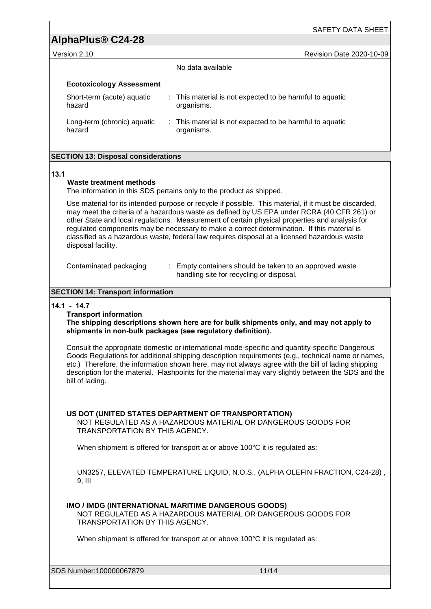SAFETY DATA SHEET

# **AlphaPlus® C24-28**

Version 2.10 Revision Date 2020-10-09

|                                       | No data available                                                      |  |
|---------------------------------------|------------------------------------------------------------------------|--|
| <b>Ecotoxicology Assessment</b>       |                                                                        |  |
| Short-term (acute) aquatic<br>hazard  | : This material is not expected to be harmful to aquatic<br>organisms. |  |
| Long-term (chronic) aquatic<br>hazard | : This material is not expected to be harmful to aquatic<br>organisms. |  |

### **SECTION 13: Disposal considerations**

### **13.1**

### **Waste treatment methods**

The information in this SDS pertains only to the product as shipped.

Use material for its intended purpose or recycle if possible. This material, if it must be discarded, may meet the criteria of a hazardous waste as defined by US EPA under RCRA (40 CFR 261) or other State and local regulations. Measurement of certain physical properties and analysis for regulated components may be necessary to make a correct determination. If this material is classified as a hazardous waste, federal law requires disposal at a licensed hazardous waste disposal facility.

Contaminated packaging : Empty containers should be taken to an approved waste handling site for recycling or disposal.

### **SECTION 14: Transport information**

### **14.1 - 14.7**

### **Transport information**

**The shipping descriptions shown here are for bulk shipments only, and may not apply to shipments in non-bulk packages (see regulatory definition).**

Consult the appropriate domestic or international mode-specific and quantity-specific Dangerous Goods Regulations for additional shipping description requirements (e.g., technical name or names, etc.) Therefore, the information shown here, may not always agree with the bill of lading shipping description for the material. Flashpoints for the material may vary slightly between the SDS and the bill of lading.

### **US DOT (UNITED STATES DEPARTMENT OF TRANSPORTATION)**

NOT REGULATED AS A HAZARDOUS MATERIAL OR DANGEROUS GOODS FOR TRANSPORTATION BY THIS AGENCY.

When shipment is offered for transport at or above 100°C it is regulated as:

UN3257, ELEVATED TEMPERATURE LIQUID, N.O.S., (ALPHA OLEFIN FRACTION, C24-28) , 9, III

**IMO / IMDG (INTERNATIONAL MARITIME DANGEROUS GOODS)** NOT REGULATED AS A HAZARDOUS MATERIAL OR DANGEROUS GOODS FOR TRANSPORTATION BY THIS AGENCY.

When shipment is offered for transport at or above 100°C it is regulated as:

SDS Number:100000067879 11/14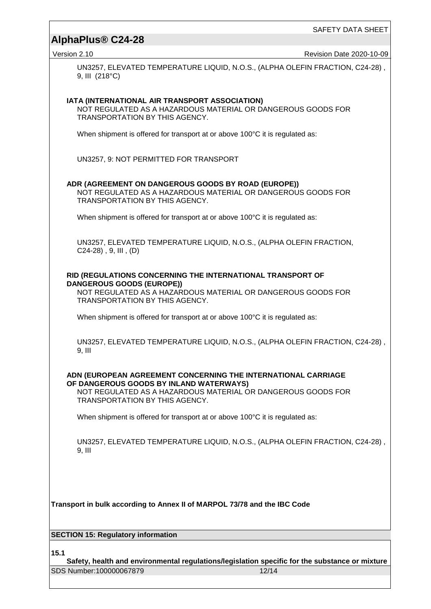### SAFETY DATA SHEET

### **AlphaPlus® C24-28**

Version 2.10 Revision Date 2020-10-09

UN3257, ELEVATED TEMPERATURE LIQUID, N.O.S., (ALPHA OLEFIN FRACTION, C24-28) , 9, III (218°C)

### **IATA (INTERNATIONAL AIR TRANSPORT ASSOCIATION)**

NOT REGULATED AS A HAZARDOUS MATERIAL OR DANGEROUS GOODS FOR TRANSPORTATION BY THIS AGENCY.

When shipment is offered for transport at or above 100°C it is regulated as:

UN3257, 9: NOT PERMITTED FOR TRANSPORT

### **ADR (AGREEMENT ON DANGEROUS GOODS BY ROAD (EUROPE))**

NOT REGULATED AS A HAZARDOUS MATERIAL OR DANGEROUS GOODS FOR TRANSPORTATION BY THIS AGENCY.

When shipment is offered for transport at or above 100°C it is regulated as:

UN3257, ELEVATED TEMPERATURE LIQUID, N.O.S., (ALPHA OLEFIN FRACTION, C24-28) , 9, III , (D)

#### **RID (REGULATIONS CONCERNING THE INTERNATIONAL TRANSPORT OF DANGEROUS GOODS (EUROPE))**

NOT REGULATED AS A HAZARDOUS MATERIAL OR DANGEROUS GOODS FOR TRANSPORTATION BY THIS AGENCY.

When shipment is offered for transport at or above 100°C it is regulated as:

UN3257, ELEVATED TEMPERATURE LIQUID, N.O.S., (ALPHA OLEFIN FRACTION, C24-28) , 9, III

### **ADN (EUROPEAN AGREEMENT CONCERNING THE INTERNATIONAL CARRIAGE OF DANGEROUS GOODS BY INLAND WATERWAYS)**

NOT REGULATED AS A HAZARDOUS MATERIAL OR DANGEROUS GOODS FOR TRANSPORTATION BY THIS AGENCY.

When shipment is offered for transport at or above 100°C it is regulated as:

UN3257, ELEVATED TEMPERATURE LIQUID, N.O.S., (ALPHA OLEFIN FRACTION, C24-28) , 9, III

**Transport in bulk according to Annex II of MARPOL 73/78 and the IBC Code**

**SECTION 15: Regulatory information**

**15.1**

SDS Number:100000067879 12/14 **Safety, health and environmental regulations/legislation specific for the substance or mixture**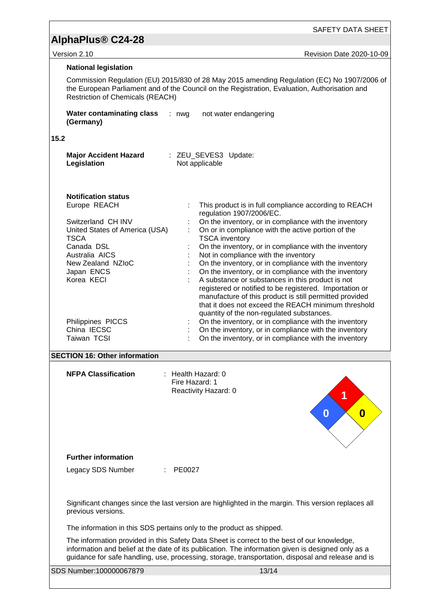Version 2.10 **Version 2.10** Revision Date 2020-10-09

Commission Regulation (EU) 2015/830 of 28 May 2015 amending Regulation (EC) No 1907/2006 of the European Parliament and of the Council on the Registration, Evaluation, Authorisation and Restriction of Chemicals (REACH)

| Water contaminating class | : nwg | not water endangering |
|---------------------------|-------|-----------------------|
| (Germany)                 |       |                       |

### **15.2**

| <b>Major Accident Hazard</b> | : ZEU_SEVES3 Update: |
|------------------------------|----------------------|
| Legislation                  | Not applicable       |

# **Notification status**

| This product is in full compliance according to REACH<br>regulation 1907/2006/EC.                                                                                                                                                                                          |
|----------------------------------------------------------------------------------------------------------------------------------------------------------------------------------------------------------------------------------------------------------------------------|
| On the inventory, or in compliance with the inventory                                                                                                                                                                                                                      |
| On or in compliance with the active portion of the<br><b>TSCA</b> inventory                                                                                                                                                                                                |
| On the inventory, or in compliance with the inventory                                                                                                                                                                                                                      |
| Not in compliance with the inventory                                                                                                                                                                                                                                       |
| On the inventory, or in compliance with the inventory                                                                                                                                                                                                                      |
| On the inventory, or in compliance with the inventory                                                                                                                                                                                                                      |
| A substance or substances in this product is not<br>registered or notified to be registered. Importation or<br>manufacture of this product is still permitted provided<br>that it does not exceed the REACH minimum threshold<br>quantity of the non-regulated substances. |
| On the inventory, or in compliance with the inventory                                                                                                                                                                                                                      |
| On the inventory, or in compliance with the inventory                                                                                                                                                                                                                      |
| On the inventory, or in compliance with the inventory                                                                                                                                                                                                                      |
|                                                                                                                                                                                                                                                                            |

| <b>SECTION 16: Other information</b> |                                                                      |                                                                                                                                                                                                                                                                                                        |  |  |
|--------------------------------------|----------------------------------------------------------------------|--------------------------------------------------------------------------------------------------------------------------------------------------------------------------------------------------------------------------------------------------------------------------------------------------------|--|--|
| <b>NFPA Classification</b>           | $:$ Health Hazard: 0<br>Fire Hazard: 1<br>Reactivity Hazard: 0       | $\boldsymbol{0}$<br>0                                                                                                                                                                                                                                                                                  |  |  |
| <b>Further information</b>           |                                                                      |                                                                                                                                                                                                                                                                                                        |  |  |
| Legacy SDS Number                    | PE0027                                                               |                                                                                                                                                                                                                                                                                                        |  |  |
| previous versions.                   |                                                                      | Significant changes since the last version are highlighted in the margin. This version replaces all                                                                                                                                                                                                    |  |  |
|                                      | The information in this SDS pertains only to the product as shipped. |                                                                                                                                                                                                                                                                                                        |  |  |
|                                      |                                                                      | The information provided in this Safety Data Sheet is correct to the best of our knowledge,<br>information and belief at the date of its publication. The information given is designed only as a<br>guidance for safe handling, use, processing, storage, transportation, disposal and release and is |  |  |
| SDS Number:100000067879              |                                                                      | 13/14                                                                                                                                                                                                                                                                                                  |  |  |
|                                      |                                                                      |                                                                                                                                                                                                                                                                                                        |  |  |